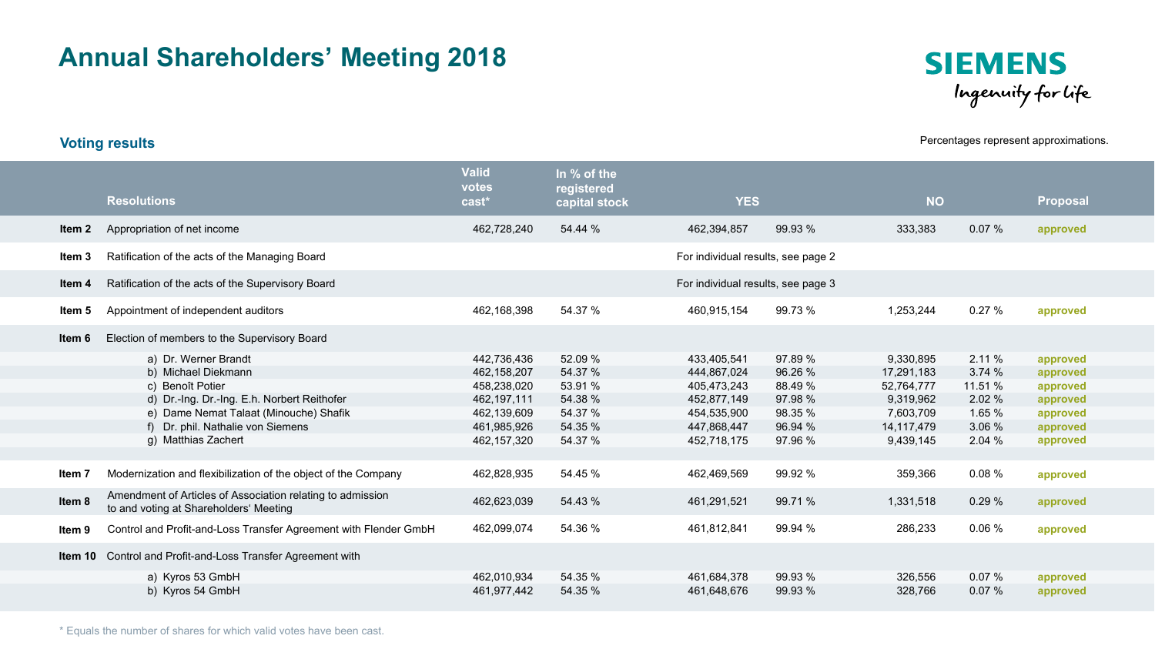## **Annual Shareholders' Meeting 2018**



### **Voting results Percentages represent approximations.**

|        | <b>Resolutions</b>                                                                                   | <b>Valid</b><br>votes<br>cast <sup>*</sup> | In % of the<br>registered<br>capital stock | <b>YES</b>                         |         | <b>NO</b>  |         | <b>Proposal</b> |  |  |  |  |
|--------|------------------------------------------------------------------------------------------------------|--------------------------------------------|--------------------------------------------|------------------------------------|---------|------------|---------|-----------------|--|--|--|--|
|        |                                                                                                      |                                            |                                            |                                    |         |            |         |                 |  |  |  |  |
| Item 2 | Appropriation of net income                                                                          | 462,728,240                                | 54.44 %                                    | 462,394,857                        | 99.93 % | 333,383    | 0.07%   | approved        |  |  |  |  |
| ltem 3 | Ratification of the acts of the Managing Board                                                       |                                            |                                            | For individual results, see page 2 |         |            |         |                 |  |  |  |  |
| ltem 4 | Ratification of the acts of the Supervisory Board                                                    |                                            |                                            | For individual results, see page 3 |         |            |         |                 |  |  |  |  |
| ltem 5 | Appointment of independent auditors                                                                  | 462,168,398                                | 54.37 %                                    | 460,915,154                        | 99.73 % | 1,253,244  | 0.27%   | approved        |  |  |  |  |
| ltem 6 | Election of members to the Supervisory Board                                                         |                                            |                                            |                                    |         |            |         |                 |  |  |  |  |
|        | a) Dr. Werner Brandt                                                                                 | 442,736,436                                | 52.09 %                                    | 433,405,541                        | 97.89 % | 9,330,895  | 2.11%   | approved        |  |  |  |  |
|        | b) Michael Diekmann                                                                                  | 462,158,207                                | 54.37 %                                    | 444,867,024                        | 96.26 % | 17,291,183 | 3.74 %  | approved        |  |  |  |  |
|        | c) Benoît Potier                                                                                     | 458,238,020                                | 53.91 %                                    | 405,473,243                        | 88.49 % | 52,764,777 | 11.51 % | approved        |  |  |  |  |
|        | d) Dr.-Ing. Dr.-Ing. E.h. Norbert Reithofer                                                          | 462,197,111                                | 54.38 %                                    | 452,877,149                        | 97.98 % | 9,319,962  | 2.02 %  | approved        |  |  |  |  |
|        | e) Dame Nemat Talaat (Minouche) Shafik                                                               | 462,139,609                                | 54.37 %                                    | 454,535,900                        | 98.35 % | 7,603,709  | 1.65 %  | approved        |  |  |  |  |
|        | f) Dr. phil. Nathalie von Siemens                                                                    | 461,985,926                                | 54.35 %                                    | 447,868,447                        | 96.94 % | 14,117,479 | 3.06 %  | approved        |  |  |  |  |
|        | g) Matthias Zachert                                                                                  | 462,157,320                                | 54.37 %                                    | 452,718,175                        | 97.96 % | 9,439,145  | 2.04%   | approved        |  |  |  |  |
|        |                                                                                                      |                                            |                                            |                                    |         |            |         |                 |  |  |  |  |
| ltem 7 | Modernization and flexibilization of the object of the Company                                       | 462,828,935                                | 54.45 %                                    | 462,469,569                        | 99.92 % | 359,366    | 0.08%   | approved        |  |  |  |  |
| Item 8 | Amendment of Articles of Association relating to admission<br>to and voting at Shareholders' Meeting | 462,623,039                                | 54.43 %                                    | 461,291,521                        | 99.71 % | 1,331,518  | 0.29%   | approved        |  |  |  |  |
| ltem 9 | Control and Profit-and-Loss Transfer Agreement with Flender GmbH                                     | 462,099,074                                | 54.36 %                                    | 461,812,841                        | 99.94 % | 286,233    | 0.06%   | approved        |  |  |  |  |
|        | Item 10 Control and Profit-and-Loss Transfer Agreement with                                          |                                            |                                            |                                    |         |            |         |                 |  |  |  |  |
|        | a) Kyros 53 GmbH                                                                                     | 462,010,934                                | 54.35 %                                    | 461,684,378                        | 99.93 % | 326,556    | 0.07%   | approved        |  |  |  |  |
|        | b) Kyros 54 GmbH                                                                                     | 461,977,442                                | 54.35 %                                    | 461,648,676                        | 99.93 % | 328,766    | 0.07%   | approved        |  |  |  |  |

\* Equals the number of shares for which valid votes have been cast.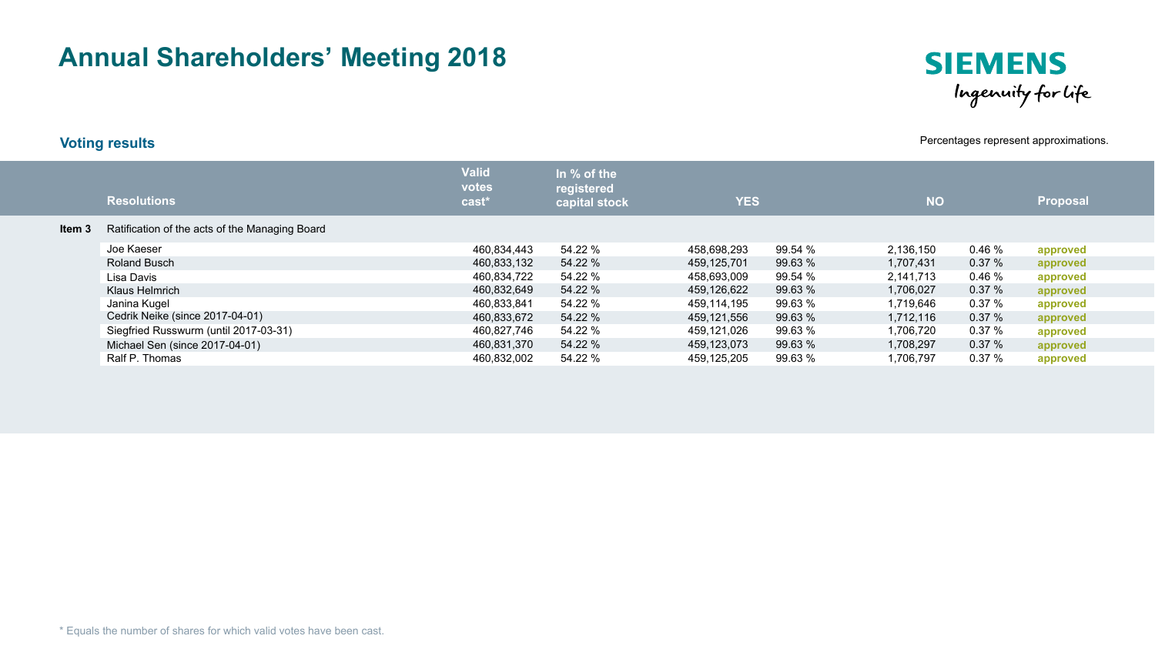# **Annual Shareholders' Meeting 2018**



**Voting results Percentages represent approximations.** 

|        | <b>Resolutions</b>                             | <b>Valid</b><br>votes<br>cast* | In $%$ of the<br>registered<br>capital stock | <b>YES</b>  |         | <b>NO</b> |       | Proposal |
|--------|------------------------------------------------|--------------------------------|----------------------------------------------|-------------|---------|-----------|-------|----------|
| Item 3 | Ratification of the acts of the Managing Board |                                |                                              |             |         |           |       |          |
|        | Joe Kaeser                                     | 460.834.443                    | 54.22 %                                      | 458.698.293 | 99.54 % | 2,136,150 | 0.46% | approved |
|        | <b>Roland Busch</b>                            | 460,833,132                    | 54.22 %                                      | 459.125.701 | 99.63%  | 1,707,431 | 0.37% | approved |
|        | Lisa Davis                                     | 460,834,722                    | 54.22 %                                      | 458.693.009 | 99.54 % | 2,141,713 | 0.46% | approved |
|        | Klaus Helmrich                                 | 460.832.649                    | 54.22 %                                      | 459.126.622 | 99.63%  | 1.706.027 | 0.37% | approved |
|        | Janina Kugel                                   | 460,833,841                    | 54.22 %                                      | 459.114.195 | 99.63 % | 1,719,646 | 0.37% | approved |
|        | Cedrik Neike (since 2017-04-01)                | 460,833,672                    | 54.22 %                                      | 459.121.556 | 99.63 % | 1,712,116 | 0.37% | approved |
|        | Siegfried Russwurm (until 2017-03-31)          | 460,827,746                    | 54.22 %                                      | 459,121,026 | 99.63 % | 1,706,720 | 0.37% | approved |
|        | Michael Sen (since 2017-04-01)                 | 460,831,370                    | 54.22 %                                      | 459,123,073 | 99.63 % | 1,708,297 | 0.37% | approved |
|        | Ralf P. Thomas                                 | 460,832,002                    | 54.22 %                                      | 459.125.205 | 99.63%  | 1.706.797 | 0.37% | approved |